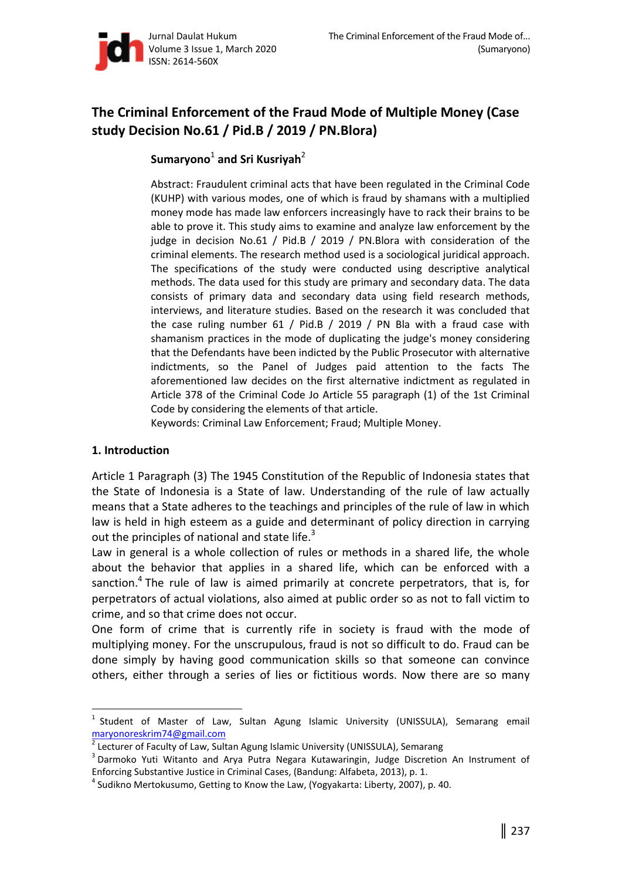

# **The Criminal Enforcement of the Fraud Mode of Multiple Money (Case study Decision No.61 / Pid.B / 2019 / PN.Blora)**

# $\mathsf{Sumaryono}^1$  and Sri Kusriyah<sup>2</sup>

Abstract: Fraudulent criminal acts that have been regulated in the Criminal Code (KUHP) with various modes, one of which is fraud by shamans with a multiplied money mode has made law enforcers increasingly have to rack their brains to be able to prove it. This study aims to examine and analyze law enforcement by the judge in decision No.61 / Pid.B / 2019 / PN.Blora with consideration of the criminal elements. The research method used is a sociological juridical approach. The specifications of the study were conducted using descriptive analytical methods. The data used for this study are primary and secondary data. The data consists of primary data and secondary data using field research methods, interviews, and literature studies. Based on the research it was concluded that the case ruling number 61 / Pid.B / 2019 / PN Bla with a fraud case with shamanism practices in the mode of duplicating the judge's money considering that the Defendants have been indicted by the Public Prosecutor with alternative indictments, so the Panel of Judges paid attention to the facts The aforementioned law decides on the first alternative indictment as regulated in Article 378 of the Criminal Code Jo Article 55 paragraph (1) of the 1st Criminal Code by considering the elements of that article.

Keywords: Criminal Law Enforcement; Fraud; Multiple Money.

## **1. Introduction**

 $\overline{a}$ 

Article 1 Paragraph (3) The 1945 Constitution of the Republic of Indonesia states that the State of Indonesia is a State of law. Understanding of the rule of law actually means that a State adheres to the teachings and principles of the rule of law in which law is held in high esteem as a guide and determinant of policy direction in carrying out the principles of national and state life.<sup>3</sup>

Law in general is a whole collection of rules or methods in a shared life, the whole about the behavior that applies in a shared life, which can be enforced with a sanction.<sup>4</sup> The rule of law is aimed primarily at concrete perpetrators, that is, for perpetrators of actual violations, also aimed at public order so as not to fall victim to crime, and so that crime does not occur.

One form of crime that is currently rife in society is fraud with the mode of multiplying money. For the unscrupulous, fraud is not so difficult to do. Fraud can be done simply by having good communication skills so that someone can convince others, either through a series of lies or fictitious words. Now there are so many

<sup>&</sup>lt;sup>1</sup> Student of Master of Law, Sultan Agung Islamic University (UNISSULA), Semarang email

maryonoreskrim74@gmail.com 2 Lecturer of Faculty of Law, Sultan Agung Islamic University (UNISSULA), Semarang

<sup>&</sup>lt;sup>3</sup> Darmoko Yuti Witanto and Arya Putra Negara Kutawaringin, Judge Discretion An Instrument of Enforcing Substantive Justice in Criminal Cases, (Bandung: Alfabeta, 2013), p. 1.

 $^4$  Sudikno Mertokusumo, Getting to Know the Law, (Yogyakarta: Liberty, 2007), p. 40.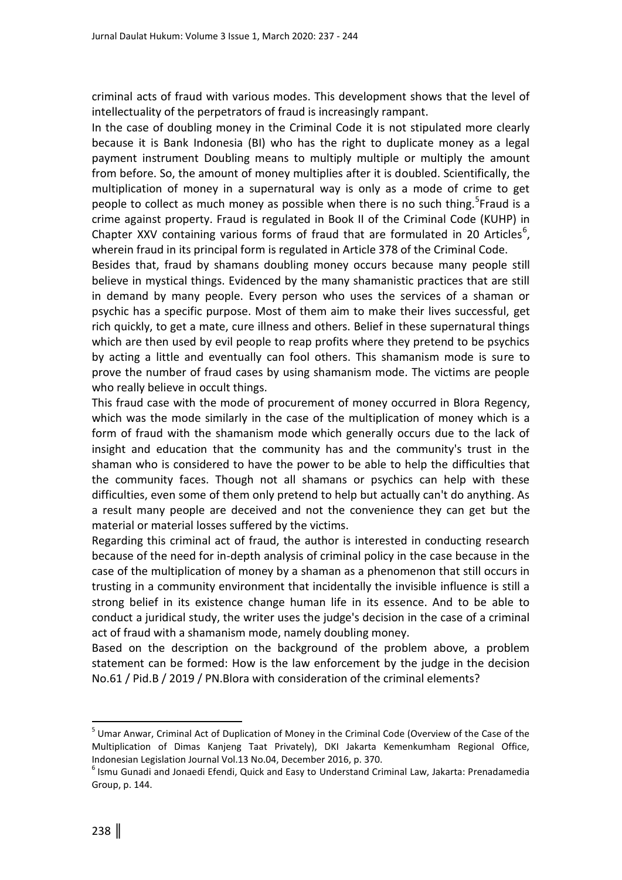criminal acts of fraud with various modes. This development shows that the level of intellectuality of the perpetrators of fraud is increasingly rampant.

In the case of doubling money in the Criminal Code it is not stipulated more clearly because it is Bank Indonesia (BI) who has the right to duplicate money as a legal payment instrument Doubling means to multiply multiple or multiply the amount from before. So, the amount of money multiplies after it is doubled. Scientifically, the multiplication of money in a supernatural way is only as a mode of crime to get people to collect as much money as possible when there is no such thing.<sup>5</sup>Fraud is a crime against property. Fraud is regulated in Book II of the Criminal Code (KUHP) in Chapter XXV containing various forms of fraud that are formulated in 20 Articles<sup>6</sup>, wherein fraud in its principal form is regulated in Article 378 of the Criminal Code.

Besides that, fraud by shamans doubling money occurs because many people still believe in mystical things. Evidenced by the many shamanistic practices that are still in demand by many people. Every person who uses the services of a shaman or psychic has a specific purpose. Most of them aim to make their lives successful, get rich quickly, to get a mate, cure illness and others. Belief in these supernatural things which are then used by evil people to reap profits where they pretend to be psychics by acting a little and eventually can fool others. This shamanism mode is sure to prove the number of fraud cases by using shamanism mode. The victims are people who really believe in occult things.

This fraud case with the mode of procurement of money occurred in Blora Regency, which was the mode similarly in the case of the multiplication of money which is a form of fraud with the shamanism mode which generally occurs due to the lack of insight and education that the community has and the community's trust in the shaman who is considered to have the power to be able to help the difficulties that the community faces. Though not all shamans or psychics can help with these difficulties, even some of them only pretend to help but actually can't do anything. As a result many people are deceived and not the convenience they can get but the material or material losses suffered by the victims.

Regarding this criminal act of fraud, the author is interested in conducting research because of the need for in-depth analysis of criminal policy in the case because in the case of the multiplication of money by a shaman as a phenomenon that still occurs in trusting in a community environment that incidentally the invisible influence is still a strong belief in its existence change human life in its essence. And to be able to conduct a juridical study, the writer uses the judge's decision in the case of a criminal act of fraud with a shamanism mode, namely doubling money.

Based on the description on the background of the problem above, a problem statement can be formed: How is the law enforcement by the judge in the decision No.61 / Pid.B / 2019 / PN.Blora with consideration of the criminal elements?

 $\overline{\phantom{a}}$ 

<sup>&</sup>lt;sup>5</sup> Umar Anwar, Criminal Act of Duplication of Money in the Criminal Code (Overview of the Case of the Multiplication of Dimas Kanjeng Taat Privately), DKI Jakarta Kemenkumham Regional Office, Indonesian Legislation Journal Vol.13 No.04, December 2016, p. 370.

<sup>6</sup> Ismu Gunadi and Jonaedi Efendi, Quick and Easy to Understand Criminal Law, Jakarta: Prenadamedia Group, p. 144.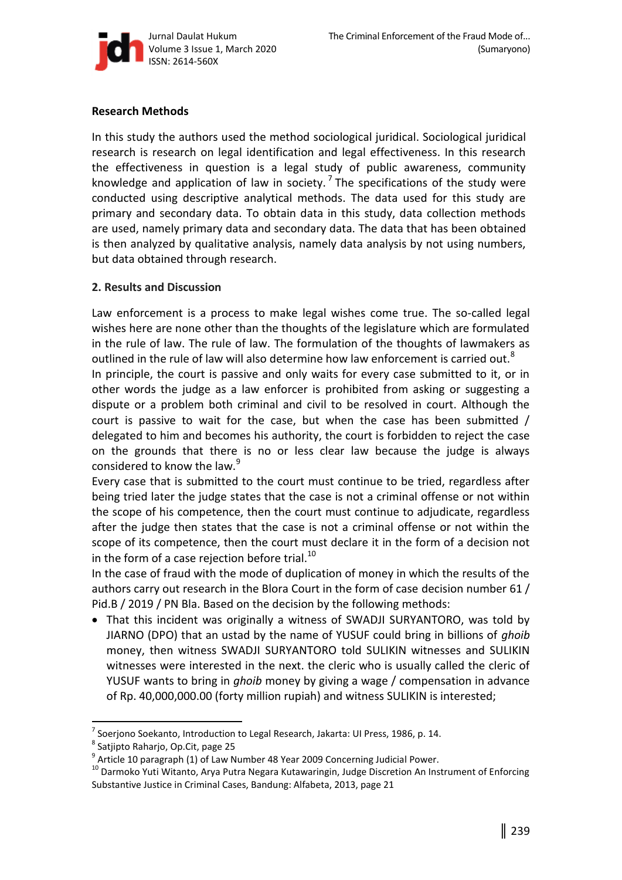

## **Research Methods**

In this study the authors used the method sociological juridical. Sociological juridical research is research on legal identification and legal effectiveness. In this research the effectiveness in question is a legal study of public awareness, community knowledge and application of law in society.<sup>7</sup> The specifications of the study were conducted using descriptive analytical methods. The data used for this study are primary and secondary data. To obtain data in this study, data collection methods are used, namely primary data and secondary data. The data that has been obtained is then analyzed by qualitative analysis, namely data analysis by not using numbers, but data obtained through research.

## **2. Results and Discussion**

Law enforcement is a process to make legal wishes come true. The so-called legal wishes here are none other than the thoughts of the legislature which are formulated in the rule of law. The rule of law. The formulation of the thoughts of lawmakers as outlined in the rule of law will also determine how law enforcement is carried out.<sup>8</sup>

In principle, the court is passive and only waits for every case submitted to it, or in other words the judge as a law enforcer is prohibited from asking or suggesting a dispute or a problem both criminal and civil to be resolved in court. Although the court is passive to wait for the case, but when the case has been submitted / delegated to him and becomes his authority, the court is forbidden to reject the case on the grounds that there is no or less clear law because the judge is always considered to know the law.<sup>9</sup>

Every case that is submitted to the court must continue to be tried, regardless after being tried later the judge states that the case is not a criminal offense or not within the scope of his competence, then the court must continue to adjudicate, regardless after the judge then states that the case is not a criminal offense or not within the scope of its competence, then the court must declare it in the form of a decision not in the form of a case rejection before trial. $^{10}$ 

In the case of fraud with the mode of duplication of money in which the results of the authors carry out research in the Blora Court in the form of case decision number 61 / Pid.B / 2019 / PN Bla. Based on the decision by the following methods:

 That this incident was originally a witness of SWADJI SURYANTORO, was told by JIARNO (DPO) that an ustad by the name of YUSUF could bring in billions of *ghoib* money, then witness SWADJI SURYANTORO told SULIKIN witnesses and SULIKIN witnesses were interested in the next. the cleric who is usually called the cleric of YUSUF wants to bring in *ghoib* money by giving a wage / compensation in advance of Rp. 40,000,000.00 (forty million rupiah) and witness SULIKIN is interested;

 $\overline{\phantom{a}}$ 

<sup>7</sup> Soerjono Soekanto, Introduction to Legal Research, Jakarta: UI Press, 1986, p. 14.

<sup>&</sup>lt;sup>8</sup> Satjipto Raharjo, Op.Cit, page 25

 $^9$  Article 10 paragraph (1) of Law Number 48 Year 2009 Concerning Judicial Power.

<sup>&</sup>lt;sup>10</sup> Darmoko Yuti Witanto, Arya Putra Negara Kutawaringin, Judge Discretion An Instrument of Enforcing Substantive Justice in Criminal Cases, Bandung: Alfabeta, 2013, page 21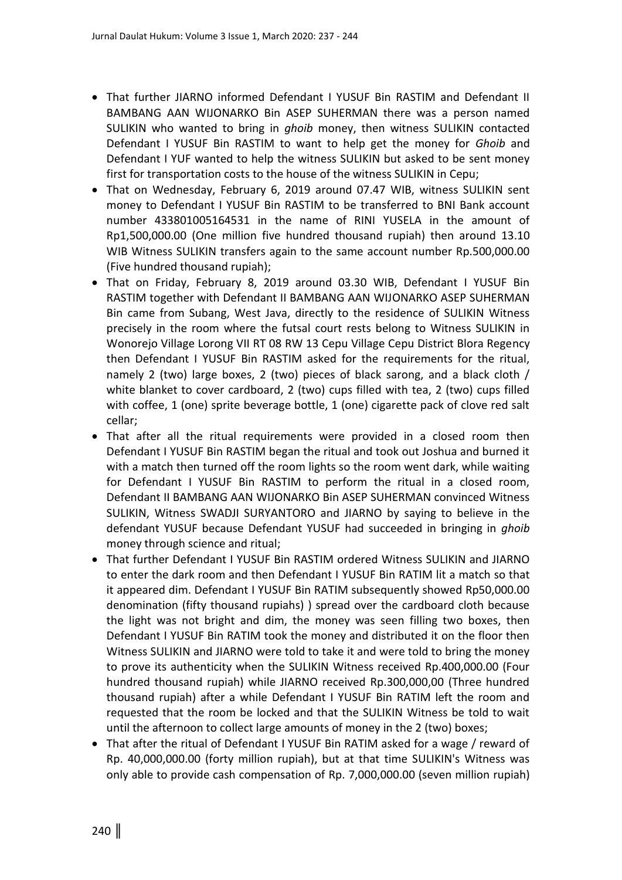- That further JIARNO informed Defendant I YUSUF Bin RASTIM and Defendant II BAMBANG AAN WIJONARKO Bin ASEP SUHERMAN there was a person named SULIKIN who wanted to bring in *ghoib* money, then witness SULIKIN contacted Defendant I YUSUF Bin RASTIM to want to help get the money for *Ghoib* and Defendant I YUF wanted to help the witness SULIKIN but asked to be sent money first for transportation costs to the house of the witness SULIKIN in Cepu;
- That on Wednesday, February 6, 2019 around 07.47 WIB, witness SULIKIN sent money to Defendant I YUSUF Bin RASTIM to be transferred to BNI Bank account number 433801005164531 in the name of RINI YUSELA in the amount of Rp1,500,000.00 (One million five hundred thousand rupiah) then around 13.10 WIB Witness SULIKIN transfers again to the same account number Rp.500,000.00 (Five hundred thousand rupiah);
- That on Friday, February 8, 2019 around 03.30 WIB, Defendant I YUSUF Bin RASTIM together with Defendant II BAMBANG AAN WIJONARKO ASEP SUHERMAN Bin came from Subang, West Java, directly to the residence of SULIKIN Witness precisely in the room where the futsal court rests belong to Witness SULIKIN in Wonorejo Village Lorong VII RT 08 RW 13 Cepu Village Cepu District Blora Regency then Defendant I YUSUF Bin RASTIM asked for the requirements for the ritual, namely 2 (two) large boxes, 2 (two) pieces of black sarong, and a black cloth / white blanket to cover cardboard, 2 (two) cups filled with tea, 2 (two) cups filled with coffee, 1 (one) sprite beverage bottle, 1 (one) cigarette pack of clove red salt cellar;
- That after all the ritual requirements were provided in a closed room then Defendant I YUSUF Bin RASTIM began the ritual and took out Joshua and burned it with a match then turned off the room lights so the room went dark, while waiting for Defendant I YUSUF Bin RASTIM to perform the ritual in a closed room, Defendant II BAMBANG AAN WIJONARKO Bin ASEP SUHERMAN convinced Witness SULIKIN, Witness SWADJI SURYANTORO and JIARNO by saying to believe in the defendant YUSUF because Defendant YUSUF had succeeded in bringing in *ghoib* money through science and ritual;
- That further Defendant I YUSUF Bin RASTIM ordered Witness SULIKIN and JIARNO to enter the dark room and then Defendant I YUSUF Bin RATIM lit a match so that it appeared dim. Defendant I YUSUF Bin RATIM subsequently showed Rp50,000.00 denomination (fifty thousand rupiahs) ) spread over the cardboard cloth because the light was not bright and dim, the money was seen filling two boxes, then Defendant I YUSUF Bin RATIM took the money and distributed it on the floor then Witness SULIKIN and JIARNO were told to take it and were told to bring the money to prove its authenticity when the SULIKIN Witness received Rp.400,000.00 (Four hundred thousand rupiah) while JIARNO received Rp.300,000,00 (Three hundred thousand rupiah) after a while Defendant I YUSUF Bin RATIM left the room and requested that the room be locked and that the SULIKIN Witness be told to wait until the afternoon to collect large amounts of money in the 2 (two) boxes;
- That after the ritual of Defendant I YUSUF Bin RATIM asked for a wage / reward of Rp. 40,000,000.00 (forty million rupiah), but at that time SULIKIN's Witness was only able to provide cash compensation of Rp. 7,000,000.00 (seven million rupiah)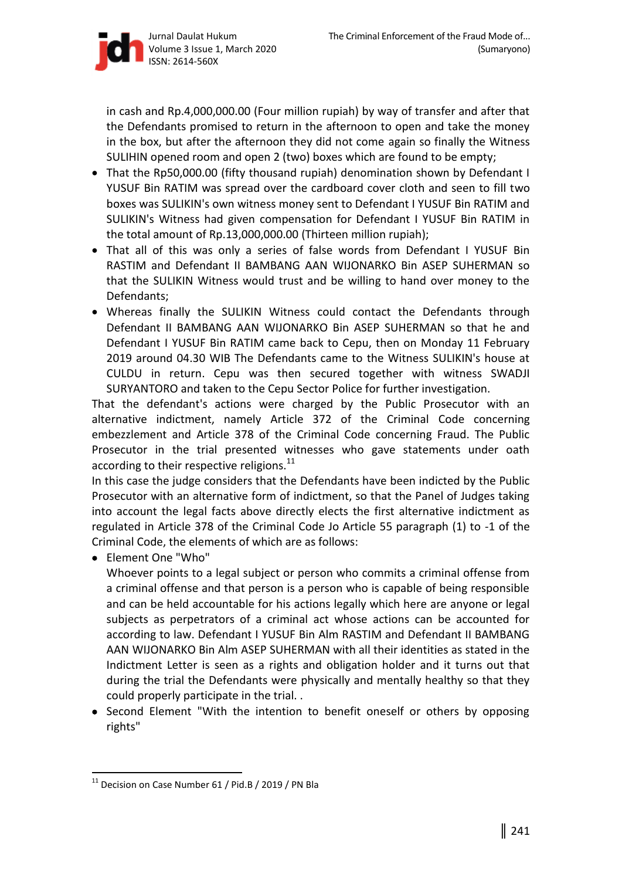

in cash and Rp.4,000,000.00 (Four million rupiah) by way of transfer and after that the Defendants promised to return in the afternoon to open and take the money in the box, but after the afternoon they did not come again so finally the Witness SULIHIN opened room and open 2 (two) boxes which are found to be empty;

- That the Rp50,000.00 (fifty thousand rupiah) denomination shown by Defendant I YUSUF Bin RATIM was spread over the cardboard cover cloth and seen to fill two boxes was SULIKIN's own witness money sent to Defendant I YUSUF Bin RATIM and SULIKIN's Witness had given compensation for Defendant I YUSUF Bin RATIM in the total amount of Rp.13,000,000.00 (Thirteen million rupiah);
- That all of this was only a series of false words from Defendant I YUSUF Bin RASTIM and Defendant II BAMBANG AAN WIJONARKO Bin ASEP SUHERMAN so that the SULIKIN Witness would trust and be willing to hand over money to the Defendants;
- Whereas finally the SULIKIN Witness could contact the Defendants through Defendant II BAMBANG AAN WIJONARKO Bin ASEP SUHERMAN so that he and Defendant I YUSUF Bin RATIM came back to Cepu, then on Monday 11 February 2019 around 04.30 WIB The Defendants came to the Witness SULIKIN's house at CULDU in return. Cepu was then secured together with witness SWADJI SURYANTORO and taken to the Cepu Sector Police for further investigation.

That the defendant's actions were charged by the Public Prosecutor with an alternative indictment, namely Article 372 of the Criminal Code concerning embezzlement and Article 378 of the Criminal Code concerning Fraud. The Public Prosecutor in the trial presented witnesses who gave statements under oath according to their respective religions.<sup>11</sup>

In this case the judge considers that the Defendants have been indicted by the Public Prosecutor with an alternative form of indictment, so that the Panel of Judges taking into account the legal facts above directly elects the first alternative indictment as regulated in Article 378 of the Criminal Code Jo Article 55 paragraph (1) to -1 of the Criminal Code, the elements of which are as follows:

Element One "Who"

 $\overline{a}$ 

Whoever points to a legal subject or person who commits a criminal offense from a criminal offense and that person is a person who is capable of being responsible and can be held accountable for his actions legally which here are anyone or legal subjects as perpetrators of a criminal act whose actions can be accounted for according to law. Defendant I YUSUF Bin Alm RASTIM and Defendant II BAMBANG AAN WIJONARKO Bin Alm ASEP SUHERMAN with all their identities as stated in the Indictment Letter is seen as a rights and obligation holder and it turns out that during the trial the Defendants were physically and mentally healthy so that they could properly participate in the trial. .

 Second Element "With the intention to benefit oneself or others by opposing rights"

 $11$  Decision on Case Number 61 / Pid.B / 2019 / PN Bla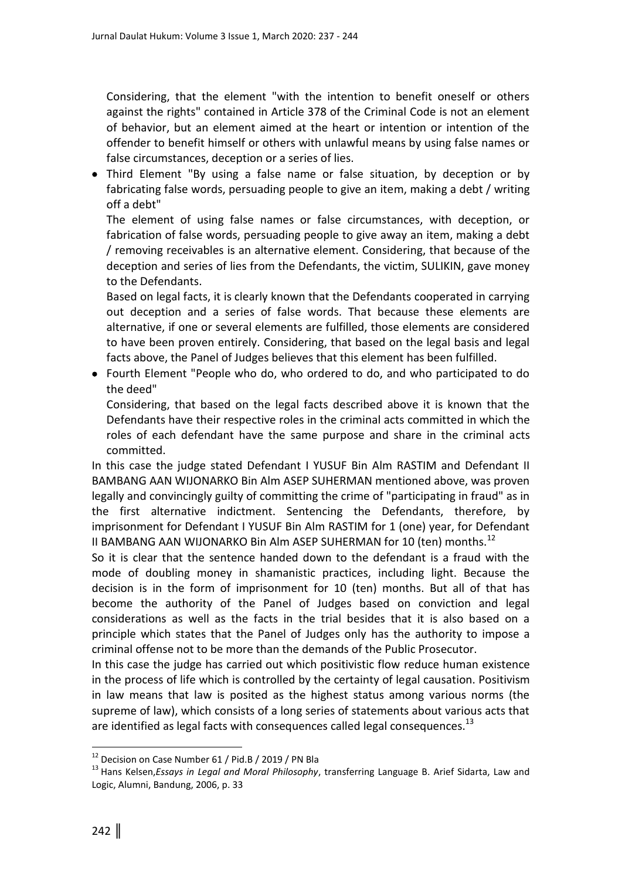Considering, that the element "with the intention to benefit oneself or others against the rights" contained in Article 378 of the Criminal Code is not an element of behavior, but an element aimed at the heart or intention or intention of the offender to benefit himself or others with unlawful means by using false names or false circumstances, deception or a series of lies.

 Third Element "By using a false name or false situation, by deception or by fabricating false words, persuading people to give an item, making a debt / writing off a debt"

The element of using false names or false circumstances, with deception, or fabrication of false words, persuading people to give away an item, making a debt / removing receivables is an alternative element. Considering, that because of the deception and series of lies from the Defendants, the victim, SULIKIN, gave money to the Defendants.

Based on legal facts, it is clearly known that the Defendants cooperated in carrying out deception and a series of false words. That because these elements are alternative, if one or several elements are fulfilled, those elements are considered to have been proven entirely. Considering, that based on the legal basis and legal facts above, the Panel of Judges believes that this element has been fulfilled.

 Fourth Element "People who do, who ordered to do, and who participated to do the deed"

Considering, that based on the legal facts described above it is known that the Defendants have their respective roles in the criminal acts committed in which the roles of each defendant have the same purpose and share in the criminal acts committed.

In this case the judge stated Defendant I YUSUF Bin Alm RASTIM and Defendant II BAMBANG AAN WIJONARKO Bin Alm ASEP SUHERMAN mentioned above, was proven legally and convincingly guilty of committing the crime of "participating in fraud" as in the first alternative indictment. Sentencing the Defendants, therefore, by imprisonment for Defendant I YUSUF Bin Alm RASTIM for 1 (one) year, for Defendant II BAMBANG AAN WIJONARKO Bin Alm ASEP SUHERMAN for 10 (ten) months.<sup>12</sup>

So it is clear that the sentence handed down to the defendant is a fraud with the mode of doubling money in shamanistic practices, including light. Because the decision is in the form of imprisonment for 10 (ten) months. But all of that has become the authority of the Panel of Judges based on conviction and legal considerations as well as the facts in the trial besides that it is also based on a principle which states that the Panel of Judges only has the authority to impose a criminal offense not to be more than the demands of the Public Prosecutor.

In this case the judge has carried out which positivistic flow reduce human existence in the process of life which is controlled by the certainty of legal causation. Positivism in law means that law is posited as the highest status among various norms (the supreme of law), which consists of a long series of statements about various acts that are identified as legal facts with consequences called legal consequences.<sup>13</sup>

 $\overline{a}$ 

<sup>&</sup>lt;sup>12</sup> Decision on Case Number 61 / Pid.B / 2019 / PN Bla

<sup>13</sup> Hans Kelsen,*Essays in Legal and Moral Philosophy*, transferring Language B. Arief Sidarta, Law and Logic, Alumni, Bandung, 2006, p. 33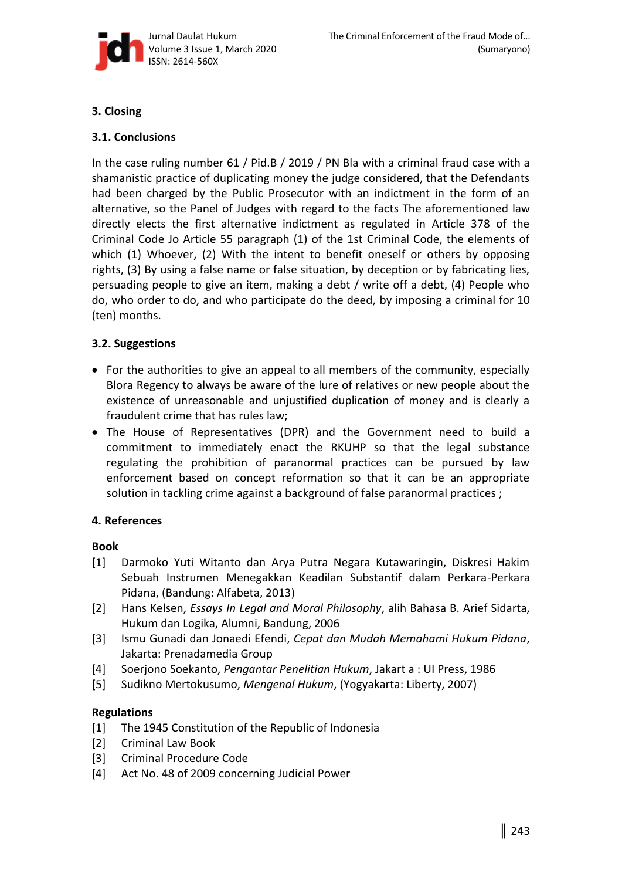

# **3. Closing**

# **3.1. Conclusions**

In the case ruling number 61 / Pid.B / 2019 / PN Bla with a criminal fraud case with a shamanistic practice of duplicating money the judge considered, that the Defendants had been charged by the Public Prosecutor with an indictment in the form of an alternative, so the Panel of Judges with regard to the facts The aforementioned law directly elects the first alternative indictment as regulated in Article 378 of the Criminal Code Jo Article 55 paragraph (1) of the 1st Criminal Code, the elements of which (1) Whoever, (2) With the intent to benefit oneself or others by opposing rights, (3) By using a false name or false situation, by deception or by fabricating lies, persuading people to give an item, making a debt / write off a debt, (4) People who do, who order to do, and who participate do the deed, by imposing a criminal for 10 (ten) months.

## **3.2. Suggestions**

- For the authorities to give an appeal to all members of the community, especially Blora Regency to always be aware of the lure of relatives or new people about the existence of unreasonable and unjustified duplication of money and is clearly a fraudulent crime that has rules law;
- The House of Representatives (DPR) and the Government need to build a commitment to immediately enact the RKUHP so that the legal substance regulating the prohibition of paranormal practices can be pursued by law enforcement based on concept reformation so that it can be an appropriate solution in tackling crime against a background of false paranormal practices ;

# **4. References**

## **Book**

- [1] Darmoko Yuti Witanto dan Arya Putra Negara Kutawaringin, Diskresi Hakim Sebuah Instrumen Menegakkan Keadilan Substantif dalam Perkara-Perkara Pidana, (Bandung: Alfabeta, 2013)
- [2] Hans Kelsen, *Essays In Legal and Moral Philosophy*, alih Bahasa B. Arief Sidarta, Hukum dan Logika, Alumni, Bandung, 2006
- [3] Ismu Gunadi dan Jonaedi Efendi, *Cepat dan Mudah Memahami Hukum Pidana*, Jakarta: Prenadamedia Group
- [4] Soerjono Soekanto, *Pengantar Penelitian Hukum*, Jakart a : UI Press, 1986
- [5] Sudikno Mertokusumo, *Mengenal Hukum*, (Yogyakarta: Liberty, 2007)

# **Regulations**

- [1] The 1945 Constitution of the Republic of Indonesia
- [2] Criminal Law Book
- [3] Criminal Procedure Code
- [4] Act No. 48 of 2009 concerning Judicial Power